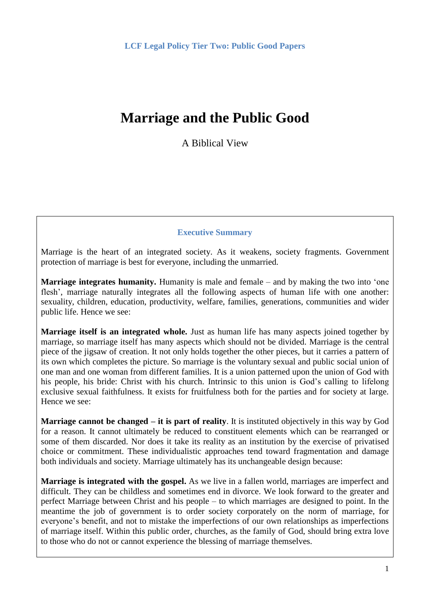# **Marriage and the Public Good**

A Biblical View

## **Executive Summary**

Marriage is the heart of an integrated society. As it weakens, society fragments. Government protection of marriage is best for everyone, including the unmarried.

**Marriage integrates humanity.** Humanity is male and female – and by making the two into 'one flesh', marriage naturally integrates all the following aspects of human life with one another: sexuality, children, education, productivity, welfare, families, generations, communities and wider public life. Hence we see:

**Marriage itself is an integrated whole.** Just as human life has many aspects joined together by marriage, so marriage itself has many aspects which should not be divided. Marriage is the central piece of the jigsaw of creation. It not only holds together the other pieces, but it carries a pattern of its own which completes the picture. So marriage is the voluntary sexual and public social union of one man and one woman from different families. It is a union patterned upon the union of God with his people, his bride: Christ with his church. Intrinsic to this union is God's calling to lifelong exclusive sexual faithfulness. It exists for fruitfulness both for the parties and for society at large. Hence we see:

**Marriage cannot be changed – it is part of reality**. It is instituted objectively in this way by God for a reason. It cannot ultimately be reduced to constituent elements which can be rearranged or some of them discarded. Nor does it take its reality as an institution by the exercise of privatised choice or commitment. These individualistic approaches tend toward fragmentation and damage both individuals and society. Marriage ultimately has its unchangeable design because:

**Marriage is integrated with the gospel.** As we live in a fallen world, marriages are imperfect and difficult. They can be childless and sometimes end in divorce. We look forward to the greater and perfect Marriage between Christ and his people – to which marriages are designed to point. In the meantime the job of government is to order society corporately on the norm of marriage, for everyone's benefit, and not to mistake the imperfections of our own relationships as imperfections of marriage itself. Within this public order, churches, as the family of God, should bring extra love to those who do not or cannot experience the blessing of marriage themselves.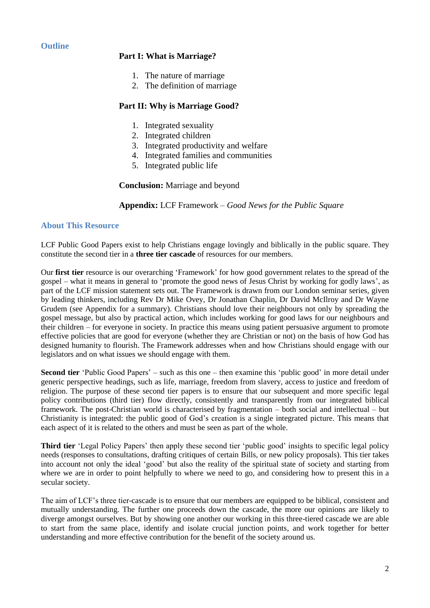### **Outline**

#### **Part I: What is Marriage?**

- 1. The nature of marriage
- 2. The definition of marriage

### **Part II: Why is Marriage Good?**

- 1. Integrated sexuality
- 2. Integrated children
- 3. Integrated productivity and welfare
- 4. Integrated families and communities
- 5. Integrated public life

#### **Conclusion:** Marriage and beyond

**Appendix:** LCF Framework – *Good News for the Public Square*

#### **About This Resource**

LCF Public Good Papers exist to help Christians engage lovingly and biblically in the public square. They constitute the second tier in a **three tier cascade** of resources for our members.

Our **first tier** resource is our overarching 'Framework' for how good government relates to the spread of the gospel – what it means in general to 'promote the good news of Jesus Christ by working for godly laws', as part of the LCF mission statement sets out. The Framework is drawn from our London seminar series, given by leading thinkers, including Rev Dr Mike Ovey, Dr Jonathan Chaplin, Dr David McIlroy and Dr Wayne Grudem (see Appendix for a summary). Christians should love their neighbours not only by spreading the gospel message, but also by practical action, which includes working for good laws for our neighbours and their children – for everyone in society. In practice this means using patient persuasive argument to promote effective policies that are good for everyone (whether they are Christian or not) on the basis of how God has designed humanity to flourish. The Framework addresses when and how Christians should engage with our legislators and on what issues we should engage with them.

**Second tier** 'Public Good Papers' – such as this one – then examine this 'public good' in more detail under generic perspective headings, such as life, marriage, freedom from slavery, access to justice and freedom of religion. The purpose of these second tier papers is to ensure that our subsequent and more specific legal policy contributions (third tier) flow directly, consistently and transparently from our integrated biblical framework. The post-Christian world is characterised by fragmentation – both social and intellectual – but Christianity is integrated: the public good of God's creation is a single integrated picture. This means that each aspect of it is related to the others and must be seen as part of the whole.

**Third tier** 'Legal Policy Papers' then apply these second tier 'public good' insights to specific legal policy needs (responses to consultations, drafting critiques of certain Bills, or new policy proposals). This tier takes into account not only the ideal 'good' but also the reality of the spiritual state of society and starting from where we are in order to point helpfully to where we need to go, and considering how to present this in a secular society.

The aim of LCF's three tier-cascade is to ensure that our members are equipped to be biblical, consistent and mutually understanding. The further one proceeds down the cascade, the more our opinions are likely to diverge amongst ourselves. But by showing one another our working in this three-tiered cascade we are able to start from the same place, identify and isolate crucial junction points, and work together for better understanding and more effective contribution for the benefit of the society around us.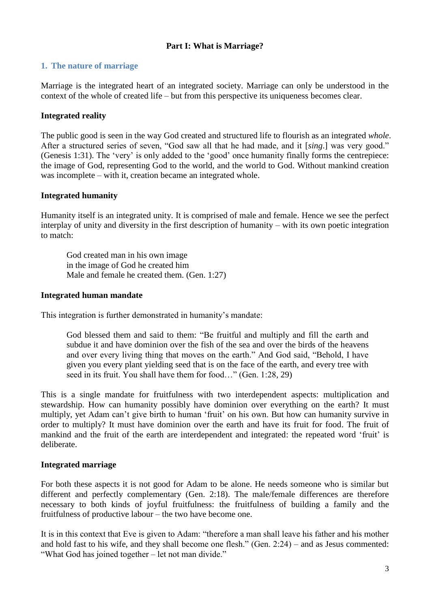## **Part I: What is Marriage?**

## **1. The nature of marriage**

Marriage is the integrated heart of an integrated society. Marriage can only be understood in the context of the whole of created life – but from this perspective its uniqueness becomes clear.

## **Integrated reality**

The public good is seen in the way God created and structured life to flourish as an integrated *whole*. After a structured series of seven, "God saw all that he had made, and it [*sing*.] was very good." (Genesis 1:31). The 'very' is only added to the 'good' once humanity finally forms the centrepiece: the image of God, representing God to the world, and the world to God. Without mankind creation was incomplete – with it, creation became an integrated whole.

## **Integrated humanity**

Humanity itself is an integrated unity. It is comprised of male and female. Hence we see the perfect interplay of unity and diversity in the first description of humanity – with its own poetic integration to match:

God created man in his own image in the image of God he created him Male and female he created them. (Gen. 1:27)

#### **Integrated human mandate**

This integration is further demonstrated in humanity's mandate:

God blessed them and said to them: "Be fruitful and multiply and fill the earth and subdue it and have dominion over the fish of the sea and over the birds of the heavens and over every living thing that moves on the earth." And God said, "Behold, I have given you every plant yielding seed that is on the face of the earth, and every tree with seed in its fruit. You shall have them for food…" (Gen. 1:28, 29)

This is a single mandate for fruitfulness with two interdependent aspects: multiplication and stewardship. How can humanity possibly have dominion over everything on the earth? It must multiply, yet Adam can't give birth to human 'fruit' on his own. But how can humanity survive in order to multiply? It must have dominion over the earth and have its fruit for food. The fruit of mankind and the fruit of the earth are interdependent and integrated: the repeated word 'fruit' is deliberate.

## **Integrated marriage**

For both these aspects it is not good for Adam to be alone. He needs someone who is similar but different and perfectly complementary (Gen. 2:18). The male/female differences are therefore necessary to both kinds of joyful fruitfulness: the fruitfulness of building a family and the fruitfulness of productive labour – the two have become one.

It is in this context that Eve is given to Adam: "therefore a man shall leave his father and his mother and hold fast to his wife, and they shall become one flesh." (Gen. 2:24) – and as Jesus commented: "What God has joined together – let not man divide."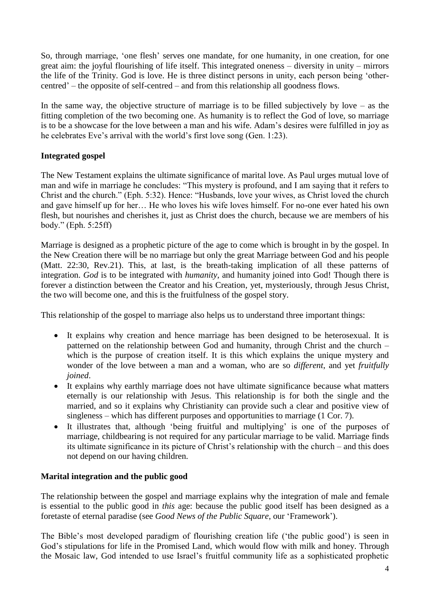So, through marriage, 'one flesh' serves one mandate, for one humanity, in one creation, for one great aim: the joyful flourishing of life itself. This integrated oneness – diversity in unity – mirrors the life of the Trinity. God is love. He is three distinct persons in unity, each person being 'othercentred' – the opposite of self-centred – and from this relationship all goodness flows.

In the same way, the objective structure of marriage is to be filled subjectively by love – as the fitting completion of the two becoming one. As humanity is to reflect the God of love, so marriage is to be a showcase for the love between a man and his wife. Adam's desires were fulfilled in joy as he celebrates Eve's arrival with the world's first love song (Gen. 1:23).

## **Integrated gospel**

The New Testament explains the ultimate significance of marital love. As Paul urges mutual love of man and wife in marriage he concludes: "This mystery is profound, and I am saying that it refers to Christ and the church." (Eph. 5:32). Hence: "Husbands, love your wives, as Christ loved the church and gave himself up for her… He who loves his wife loves himself. For no-one ever hated his own flesh, but nourishes and cherishes it, just as Christ does the church, because we are members of his body." (Eph. 5:25ff)

Marriage is designed as a prophetic picture of the age to come which is brought in by the gospel. In the New Creation there will be no marriage but only the great Marriage between God and his people (Matt. 22:30, Rev.21). This, at last, is the breath-taking implication of all these patterns of integration. *God* is to be integrated with *humanity*, and humanity joined into God! Though there is forever a distinction between the Creator and his Creation, yet, mysteriously, through Jesus Christ, the two will become one, and this is the fruitfulness of the gospel story.

This relationship of the gospel to marriage also helps us to understand three important things:

- It explains why creation and hence marriage has been designed to be heterosexual. It is patterned on the relationship between God and humanity, through Christ and the church – which is the purpose of creation itself. It is this which explains the unique mystery and wonder of the love between a man and a woman, who are so *different*, and yet *fruitfully joined*.
- It explains why earthly marriage does not have ultimate significance because what matters eternally is our relationship with Jesus. This relationship is for both the single and the married, and so it explains why Christianity can provide such a clear and positive view of singleness – which has different purposes and opportunities to marriage (1 Cor. 7).
- It illustrates that, although 'being fruitful and multiplying' is one of the purposes of marriage, childbearing is not required for any particular marriage to be valid. Marriage finds its ultimate significance in its picture of Christ's relationship with the church – and this does not depend on our having children.

## **Marital integration and the public good**

The relationship between the gospel and marriage explains why the integration of male and female is essential to the public good in *this* age: because the public good itself has been designed as a foretaste of eternal paradise (see *Good News of the Public Square*, our 'Framework').

The Bible's most developed paradigm of flourishing creation life ('the public good') is seen in God's stipulations for life in the Promised Land, which would flow with milk and honey. Through the Mosaic law, God intended to use Israel's fruitful community life as a sophisticated prophetic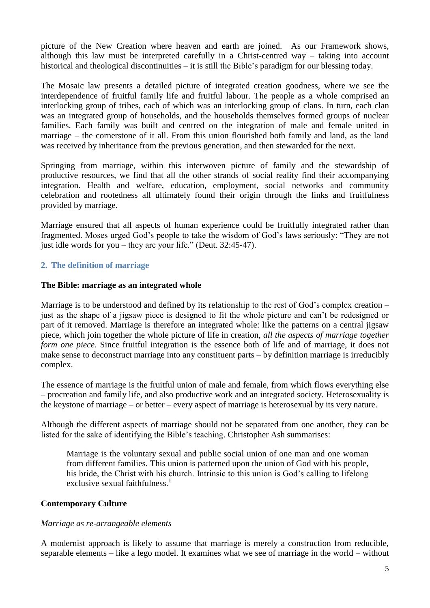picture of the New Creation where heaven and earth are joined. As our Framework shows, although this law must be interpreted carefully in a Christ-centred way – taking into account historical and theological discontinuities – it is still the Bible's paradigm for our blessing today.

The Mosaic law presents a detailed picture of integrated creation goodness, where we see the interdependence of fruitful family life and fruitful labour. The people as a whole comprised an interlocking group of tribes, each of which was an interlocking group of clans. In turn, each clan was an integrated group of households, and the households themselves formed groups of nuclear families. Each family was built and centred on the integration of male and female united in marriage – the cornerstone of it all. From this union flourished both family and land, as the land was received by inheritance from the previous generation, and then stewarded for the next.

Springing from marriage, within this interwoven picture of family and the stewardship of productive resources, we find that all the other strands of social reality find their accompanying integration. Health and welfare, education, employment, social networks and community celebration and rootedness all ultimately found their origin through the links and fruitfulness provided by marriage.

Marriage ensured that all aspects of human experience could be fruitfully integrated rather than fragmented. Moses urged God's people to take the wisdom of God's laws seriously: "They are not just idle words for you – they are your life." (Deut. 32:45-47).

## **2. The definition of marriage**

#### **The Bible: marriage as an integrated whole**

Marriage is to be understood and defined by its relationship to the rest of God's complex creation – just as the shape of a jigsaw piece is designed to fit the whole picture and can't be redesigned or part of it removed. Marriage is therefore an integrated whole: like the patterns on a central jigsaw piece, which join together the whole picture of life in creation, *all the aspects of marriage together form one piece*. Since fruitful integration is the essence both of life and of marriage, it does not make sense to deconstruct marriage into any constituent parts – by definition marriage is irreducibly complex.

The essence of marriage is the fruitful union of male and female, from which flows everything else – procreation and family life, and also productive work and an integrated society. Heterosexuality is the keystone of marriage – or better – every aspect of marriage is heterosexual by its very nature.

Although the different aspects of marriage should not be separated from one another, they can be listed for the sake of identifying the Bible's teaching. Christopher Ash summarises:

Marriage is the voluntary sexual and public social union of one man and one woman from different families. This union is patterned upon the union of God with his people, his bride, the Christ with his church. Intrinsic to this union is God's calling to lifelong exclusive sexual faithfulness.<sup>1</sup>

#### **Contemporary Culture**

#### *Marriage as re-arrangeable elements*

A modernist approach is likely to assume that marriage is merely a construction from reducible, separable elements – like a lego model. It examines what we see of marriage in the world – without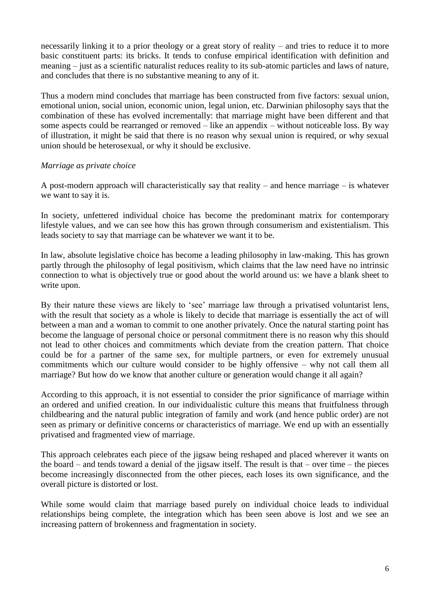necessarily linking it to a prior theology or a great story of reality – and tries to reduce it to more basic constituent parts: its bricks. It tends to confuse empirical identification with definition and meaning – just as a scientific naturalist reduces reality to its sub-atomic particles and laws of nature, and concludes that there is no substantive meaning to any of it.

Thus a modern mind concludes that marriage has been constructed from five factors: sexual union, emotional union, social union, economic union, legal union, etc. Darwinian philosophy says that the combination of these has evolved incrementally: that marriage might have been different and that some aspects could be rearranged or removed – like an appendix – without noticeable loss. By way of illustration, it might be said that there is no reason why sexual union is required, or why sexual union should be heterosexual, or why it should be exclusive.

## *Marriage as private choice*

A post-modern approach will characteristically say that reality – and hence marriage – is whatever we want to say it is.

In society, unfettered individual choice has become the predominant matrix for contemporary lifestyle values, and we can see how this has grown through consumerism and existentialism. This leads society to say that marriage can be whatever we want it to be.

In law, absolute legislative choice has become a leading philosophy in law-making. This has grown partly through the philosophy of legal positivism, which claims that the law need have no intrinsic connection to what is objectively true or good about the world around us: we have a blank sheet to write upon.

By their nature these views are likely to 'see' marriage law through a privatised voluntarist lens, with the result that society as a whole is likely to decide that marriage is essentially the act of will between a man and a woman to commit to one another privately. Once the natural starting point has become the language of personal choice or personal commitment there is no reason why this should not lead to other choices and commitments which deviate from the creation pattern. That choice could be for a partner of the same sex, for multiple partners, or even for extremely unusual commitments which our culture would consider to be highly offensive – why not call them all marriage? But how do we know that another culture or generation would change it all again?

According to this approach, it is not essential to consider the prior significance of marriage within an ordered and unified creation. In our individualistic culture this means that fruitfulness through childbearing and the natural public integration of family and work (and hence public order) are not seen as primary or definitive concerns or characteristics of marriage. We end up with an essentially privatised and fragmented view of marriage.

This approach celebrates each piece of the jigsaw being reshaped and placed wherever it wants on the board – and tends toward a denial of the jigsaw itself. The result is that – over time – the pieces become increasingly disconnected from the other pieces, each loses its own significance, and the overall picture is distorted or lost.

While some would claim that marriage based purely on individual choice leads to individual relationships being complete, the integration which has been seen above is lost and we see an increasing pattern of brokenness and fragmentation in society.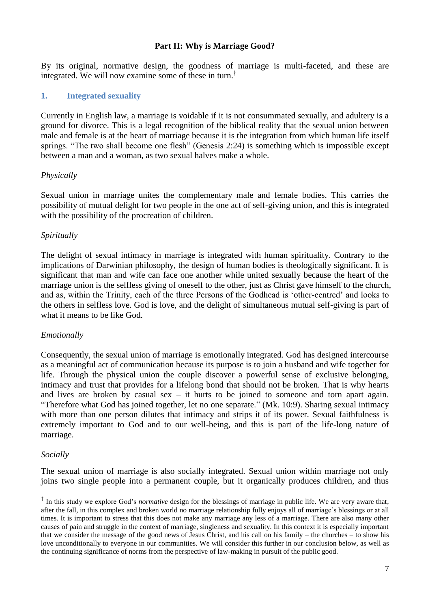### **Part II: Why is Marriage Good?**

By its original, normative design, the goodness of marriage is multi-faceted, and these are integrated. We will now examine some of these in turn.†

#### **1. Integrated sexuality**

Currently in English law, a marriage is voidable if it is not consummated sexually, and adultery is a ground for divorce. This is a legal recognition of the biblical reality that the sexual union between male and female is at the heart of marriage because it is the integration from which human life itself springs. "The two shall become one flesh" (Genesis 2:24) is something which is impossible except between a man and a woman, as two sexual halves make a whole.

#### *Physically*

Sexual union in marriage unites the complementary male and female bodies. This carries the possibility of mutual delight for two people in the one act of self-giving union, and this is integrated with the possibility of the procreation of children.

#### *Spiritually*

The delight of sexual intimacy in marriage is integrated with human spirituality. Contrary to the implications of Darwinian philosophy, the design of human bodies is theologically significant. It is significant that man and wife can face one another while united sexually because the heart of the marriage union is the selfless giving of oneself to the other, just as Christ gave himself to the church, and as, within the Trinity, each of the three Persons of the Godhead is 'other-centred' and looks to the others in selfless love. God is love, and the delight of simultaneous mutual self-giving is part of what it means to be like God.

#### *Emotionally*

Consequently, the sexual union of marriage is emotionally integrated. God has designed intercourse as a meaningful act of communication because its purpose is to join a husband and wife together for life. Through the physical union the couple discover a powerful sense of exclusive belonging, intimacy and trust that provides for a lifelong bond that should not be broken. That is why hearts and lives are broken by casual sex – it hurts to be joined to someone and torn apart again. "Therefore what God has joined together, let no one separate." (Mk. 10:9). Sharing sexual intimacy with more than one person dilutes that intimacy and strips it of its power. Sexual faithfulness is extremely important to God and to our well-being, and this is part of the life-long nature of marriage.

#### *Socially*

The sexual union of marriage is also socially integrated. Sexual union within marriage not only joins two single people into a permanent couple, but it organically produces children, and thus

<sup>†</sup> In this study we explore God's *normative* design for the blessings of marriage in public life. We are very aware that, after the fall, in this complex and broken world no marriage relationship fully enjoys all of marriage's blessings or at all times. It is important to stress that this does not make any marriage any less of a marriage. There are also many other causes of pain and struggle in the context of marriage, singleness and sexuality. In this context it is especially important that we consider the message of the good news of Jesus Christ, and his call on his family – the churches – to show his love unconditionally to everyone in our communities. We will consider this further in our conclusion below, as well as the continuing significance of norms from the perspective of law-making in pursuit of the public good.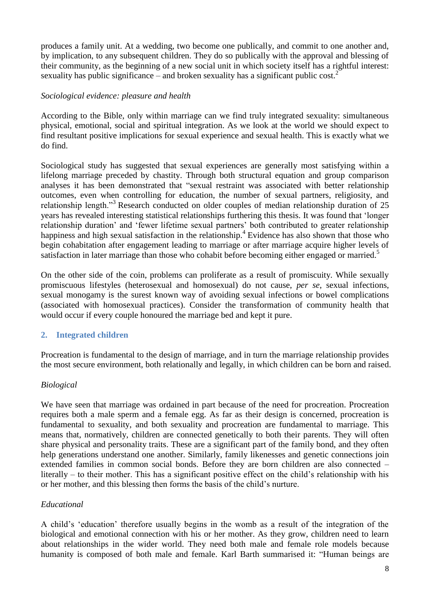produces a family unit. At a wedding, two become one publically, and commit to one another and, by implication, to any subsequent children. They do so publically with the approval and blessing of their community, as the beginning of a new social unit in which society itself has a rightful interest: sexuality has public significance – and broken sexuality has a significant public  $\cos t$ .<sup>2</sup>

## *Sociological evidence: pleasure and health*

According to the Bible, only within marriage can we find truly integrated sexuality: simultaneous physical, emotional, social and spiritual integration. As we look at the world we should expect to find resultant positive implications for sexual experience and sexual health. This is exactly what we do find.

Sociological study has suggested that sexual experiences are generally most satisfying within a lifelong marriage preceded by chastity. Through both structural equation and group comparison analyses it has been demonstrated that "sexual restraint was associated with better relationship outcomes, even when controlling for education, the number of sexual partners, religiosity, and relationship length."<sup>3</sup> Research conducted on older couples of median relationship duration of 25 years has revealed interesting statistical relationships furthering this thesis. It was found that 'longer relationship duration' and 'fewer lifetime sexual partners' both contributed to greater relationship happiness and high sexual satisfaction in the relationship.<sup>4</sup> Evidence has also shown that those who begin cohabitation after engagement leading to marriage or after marriage acquire higher levels of satisfaction in later marriage than those who cohabit before becoming either engaged or married.<sup>5</sup>

On the other side of the coin, problems can proliferate as a result of promiscuity. While sexually promiscuous lifestyles (heterosexual and homosexual) do not cause, *per se*, sexual infections, sexual monogamy is the surest known way of avoiding sexual infections or bowel complications (associated with homosexual practices). Consider the transformation of community health that would occur if every couple honoured the marriage bed and kept it pure.

## **2. Integrated children**

Procreation is fundamental to the design of marriage, and in turn the marriage relationship provides the most secure environment, both relationally and legally, in which children can be born and raised.

## *Biological*

We have seen that marriage was ordained in part because of the need for procreation. Procreation requires both a male sperm and a female egg. As far as their design is concerned, procreation is fundamental to sexuality, and both sexuality and procreation are fundamental to marriage. This means that, normatively, children are connected genetically to both their parents. They will often share physical and personality traits. These are a significant part of the family bond, and they often help generations understand one another. Similarly, family likenesses and genetic connections join extended families in common social bonds. Before they are born children are also connected – literally – to their mother. This has a significant positive effect on the child's relationship with his or her mother, and this blessing then forms the basis of the child's nurture.

## *Educational*

A child's 'education' therefore usually begins in the womb as a result of the integration of the biological and emotional connection with his or her mother. As they grow, children need to learn about relationships in the wider world. They need both male and female role models because humanity is composed of both male and female. Karl Barth summarised it: "Human beings are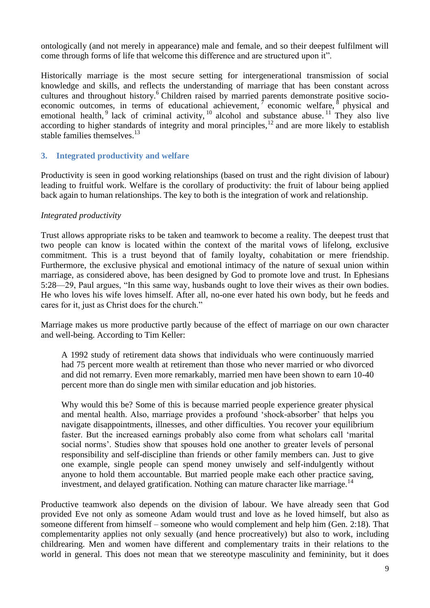ontologically (and not merely in appearance) male and female, and so their deepest fulfilment will come through forms of life that welcome this difference and are structured upon it".

Historically marriage is the most secure setting for intergenerational transmission of social knowledge and skills, and reflects the understanding of marriage that has been constant across cultures and throughout history.<sup>6</sup> Children raised by married parents demonstrate positive socioeconomic outcomes, in terms of educational achievement,  $\sigma$  economic welfare,  $\delta$  physical and emotional health, <sup>9</sup> lack of criminal activity,  $10$  alcohol and substance abuse.  $11$  They also live according to higher standards of integrity and moral principles, $12$  and are more likely to establish stable families themselves.<sup>13</sup>

## **3. Integrated productivity and welfare**

Productivity is seen in good working relationships (based on trust and the right division of labour) leading to fruitful work. Welfare is the corollary of productivity: the fruit of labour being applied back again to human relationships. The key to both is the integration of work and relationship.

#### *Integrated productivity*

Trust allows appropriate risks to be taken and teamwork to become a reality. The deepest trust that two people can know is located within the context of the marital vows of lifelong, exclusive commitment. This is a trust beyond that of family loyalty, cohabitation or mere friendship. Furthermore, the exclusive physical and emotional intimacy of the nature of sexual union within marriage, as considered above, has been designed by God to promote love and trust. In Ephesians 5:28—29, Paul argues, "In this same way, husbands ought to love their wives as their own bodies. He who loves his wife loves himself. After all, no-one ever hated his own body, but he feeds and cares for it, just as Christ does for the church."

Marriage makes us more productive partly because of the effect of marriage on our own character and well-being. According to Tim Keller:

A 1992 study of retirement data shows that individuals who were continuously married had 75 percent more wealth at retirement than those who never married or who divorced and did not remarry. Even more remarkably, married men have been shown to earn 10-40 percent more than do single men with similar education and job histories.

Why would this be? Some of this is because married people experience greater physical and mental health. Also, marriage provides a profound 'shock-absorber' that helps you navigate disappointments, illnesses, and other difficulties. You recover your equilibrium faster. But the increased earnings probably also come from what scholars call 'marital social norms'. Studies show that spouses hold one another to greater levels of personal responsibility and self-discipline than friends or other family members can. Just to give one example, single people can spend money unwisely and self-indulgently without anyone to hold them accountable. But married people make each other practice saving, investment, and delayed gratification. Nothing can mature character like marriage.<sup>14</sup>

Productive teamwork also depends on the division of labour. We have already seen that God provided Eve not only as someone Adam would trust and love as he loved himself, but also as someone different from himself – someone who would complement and help him (Gen. 2:18). That complementarity applies not only sexually (and hence procreatively) but also to work, including childrearing. Men and women have different and complementary traits in their relations to the world in general. This does not mean that we stereotype masculinity and femininity, but it does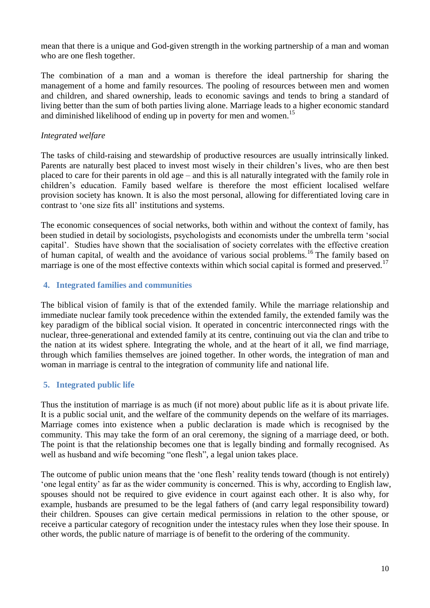mean that there is a unique and God-given strength in the working partnership of a man and woman who are one flesh together.

The combination of a man and a woman is therefore the ideal partnership for sharing the management of a home and family resources. The pooling of resources between men and women and children, and shared ownership, leads to economic savings and tends to bring a standard of living better than the sum of both parties living alone. Marriage leads to a higher economic standard and diminished likelihood of ending up in poverty for men and women.<sup>15</sup>

## *Integrated welfare*

The tasks of child-raising and stewardship of productive resources are usually intrinsically linked. Parents are naturally best placed to invest most wisely in their children's lives, who are then best placed to care for their parents in old age – and this is all naturally integrated with the family role in children's education. Family based welfare is therefore the most efficient localised welfare provision society has known. It is also the most personal, allowing for differentiated loving care in contrast to 'one size fits all' institutions and systems.

The economic consequences of social networks, both within and without the context of family, has been studied in detail by sociologists, psychologists and economists under the umbrella term 'social capital'. Studies have shown that the socialisation of society correlates with the effective creation of human capital, of wealth and the avoidance of various social problems.<sup>16</sup> The family based on marriage is one of the most effective contexts within which social capital is formed and preserved.<sup>17</sup>

## **4. Integrated families and communities**

The biblical vision of family is that of the extended family. While the marriage relationship and immediate nuclear family took precedence within the extended family, the extended family was the key paradigm of the biblical social vision. It operated in concentric interconnected rings with the nuclear, three-generational and extended family at its centre, continuing out via the clan and tribe to the nation at its widest sphere. Integrating the whole, and at the heart of it all, we find marriage, through which families themselves are joined together. In other words, the integration of man and woman in marriage is central to the integration of community life and national life.

## **5. Integrated public life**

Thus the institution of marriage is as much (if not more) about public life as it is about private life. It is a public social unit, and the welfare of the community depends on the welfare of its marriages. Marriage comes into existence when a public declaration is made which is recognised by the community. This may take the form of an oral ceremony, the signing of a marriage deed, or both. The point is that the relationship becomes one that is legally binding and formally recognised. As well as husband and wife becoming "one flesh", a legal union takes place.

The outcome of public union means that the 'one flesh' reality tends toward (though is not entirely) 'one legal entity' as far as the wider community is concerned. This is why, according to English law, spouses should not be required to give evidence in court against each other. It is also why, for example, husbands are presumed to be the legal fathers of (and carry legal responsibility toward) their children. Spouses can give certain medical permissions in relation to the other spouse, or receive a particular category of recognition under the intestacy rules when they lose their spouse. In other words, the public nature of marriage is of benefit to the ordering of the community.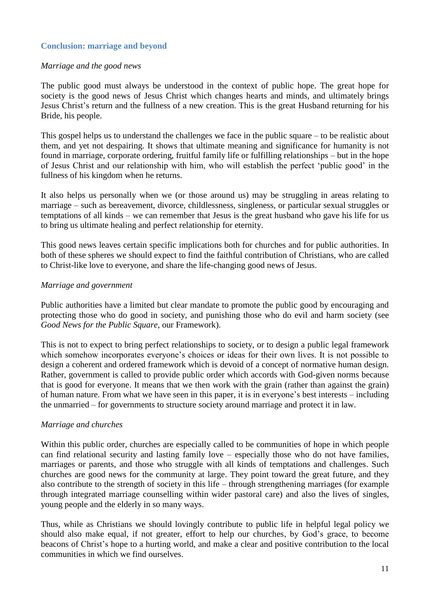## **Conclusion: marriage and beyond**

#### *Marriage and the good news*

The public good must always be understood in the context of public hope. The great hope for society is the good news of Jesus Christ which changes hearts and minds, and ultimately brings Jesus Christ's return and the fullness of a new creation. This is the great Husband returning for his Bride, his people.

This gospel helps us to understand the challenges we face in the public square – to be realistic about them, and yet not despairing. It shows that ultimate meaning and significance for humanity is not found in marriage, corporate ordering, fruitful family life or fulfilling relationships – but in the hope of Jesus Christ and our relationship with him, who will establish the perfect 'public good' in the fullness of his kingdom when he returns.

It also helps us personally when we (or those around us) may be struggling in areas relating to marriage – such as bereavement, divorce, childlessness, singleness, or particular sexual struggles or temptations of all kinds – we can remember that Jesus is the great husband who gave his life for us to bring us ultimate healing and perfect relationship for eternity.

This good news leaves certain specific implications both for churches and for public authorities. In both of these spheres we should expect to find the faithful contribution of Christians, who are called to Christ-like love to everyone, and share the life-changing good news of Jesus.

#### *Marriage and government*

Public authorities have a limited but clear mandate to promote the public good by encouraging and protecting those who do good in society, and punishing those who do evil and harm society (see *Good News for the Public Square*, our Framework).

This is not to expect to bring perfect relationships to society, or to design a public legal framework which somehow incorporates everyone's choices or ideas for their own lives. It is not possible to design a coherent and ordered framework which is devoid of a concept of normative human design. Rather, government is called to provide public order which accords with God-given norms because that is good for everyone. It means that we then work with the grain (rather than against the grain) of human nature. From what we have seen in this paper, it is in everyone's best interests – including the unmarried – for governments to structure society around marriage and protect it in law.

#### *Marriage and churches*

Within this public order, churches are especially called to be communities of hope in which people can find relational security and lasting family love – especially those who do not have families, marriages or parents, and those who struggle with all kinds of temptations and challenges. Such churches are good news for the community at large. They point toward the great future, and they also contribute to the strength of society in this life – through strengthening marriages (for example through integrated marriage counselling within wider pastoral care) and also the lives of singles, young people and the elderly in so many ways.

Thus, while as Christians we should lovingly contribute to public life in helpful legal policy we should also make equal, if not greater, effort to help our churches, by God's grace, to become beacons of Christ's hope to a hurting world, and make a clear and positive contribution to the local communities in which we find ourselves.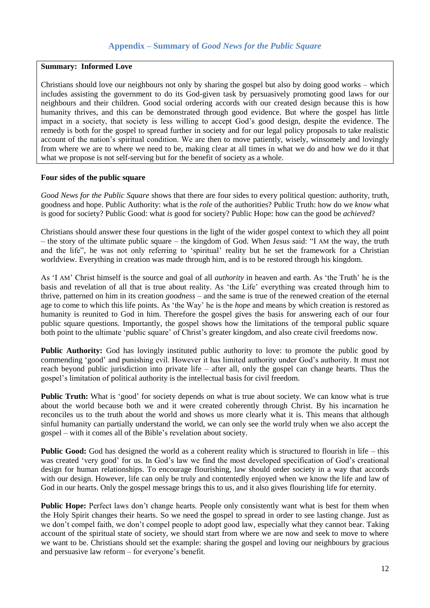#### **Summary: Informed Love**

Christians should love our neighbours not only by sharing the gospel but also by doing good works – which includes assisting the government to do its God-given task by persuasively promoting good laws for our neighbours and their children. Good social ordering accords with our created design because this is how humanity thrives, and this can be demonstrated through good evidence. But where the gospel has little impact in a society, that society is less willing to accept God's good design, despite the evidence. The remedy is both for the gospel to spread further in society and for our legal policy proposals to take realistic account of the nation's spiritual condition. We are then to move patiently, wisely, winsomely and lovingly from where we are to where we need to be, making clear at all times in what we do and how we do it that what we propose is not self-serving but for the benefit of society as a whole.

#### **Four sides of the public square**

*Good News for the Public Square* shows that there are four sides to every political question: authority, truth, goodness and hope. Public Authority: what is the *role* of the authorities? Public Truth: how do we *know* what is good for society? Public Good: what *is* good for society? Public Hope: how can the good be *achieved*?

Christians should answer these four questions in the light of the wider gospel context to which they all point – the story of the ultimate public square – the kingdom of God. When Jesus said: "I AM the way, the truth and the life", he was not only referring to 'spiritual' reality but he set the framework for a Christian worldview. Everything in creation was made through him, and is to be restored through his kingdom.

As 'I AM' Christ himself is the source and goal of all *authority* in heaven and earth. As 'the Truth' he is the basis and revelation of all that is true about reality. As 'the Life' everything was created through him to thrive, patterned on him in its creation *goodness* – and the same is true of the renewed creation of the eternal age to come to which this life points. As 'the Way' he is the *hope* and means by which creation is restored as humanity is reunited to God in him. Therefore the gospel gives the basis for answering each of our four public square questions. Importantly, the gospel shows how the limitations of the temporal public square both point to the ultimate 'public square' of Christ's greater kingdom, and also create civil freedoms now.

**Public Authority:** God has lovingly instituted public authority to love: to promote the public good by commending 'good' and punishing evil. However it has limited authority under God's authority. It must not reach beyond public jurisdiction into private life – after all, only the gospel can change hearts. Thus the gospel's limitation of political authority is the intellectual basis for civil freedom.

**Public Truth:** What is 'good' for society depends on what is true about society. We can know what is true about the world because both we and it were created coherently through Christ. By his incarnation he reconciles us to the truth about the world and shows us more clearly what it is. This means that although sinful humanity can partially understand the world, we can only see the world truly when we also accept the gospel – with it comes all of the Bible's revelation about society.

**Public Good:** God has designed the world as a coherent reality which is structured to flourish in life – this was created 'very good' for us. In God's law we find the most developed specification of God's creational design for human relationships. To encourage flourishing, law should order society in a way that accords with our design. However, life can only be truly and contentedly enjoyed when we know the life and law of God in our hearts. Only the gospel message brings this to us, and it also gives flourishing life for eternity.

**Public Hope:** Perfect laws don't change hearts. People only consistently want what is best for them when the Holy Spirit changes their hearts. So we need the gospel to spread in order to see lasting change. Just as we don't compel faith, we don't compel people to adopt good law, especially what they cannot bear. Taking account of the spiritual state of society, we should start from where we are now and seek to move to where we want to be. Christians should set the example: sharing the gospel and loving our neighbours by gracious and persuasive law reform – for everyone's benefit.